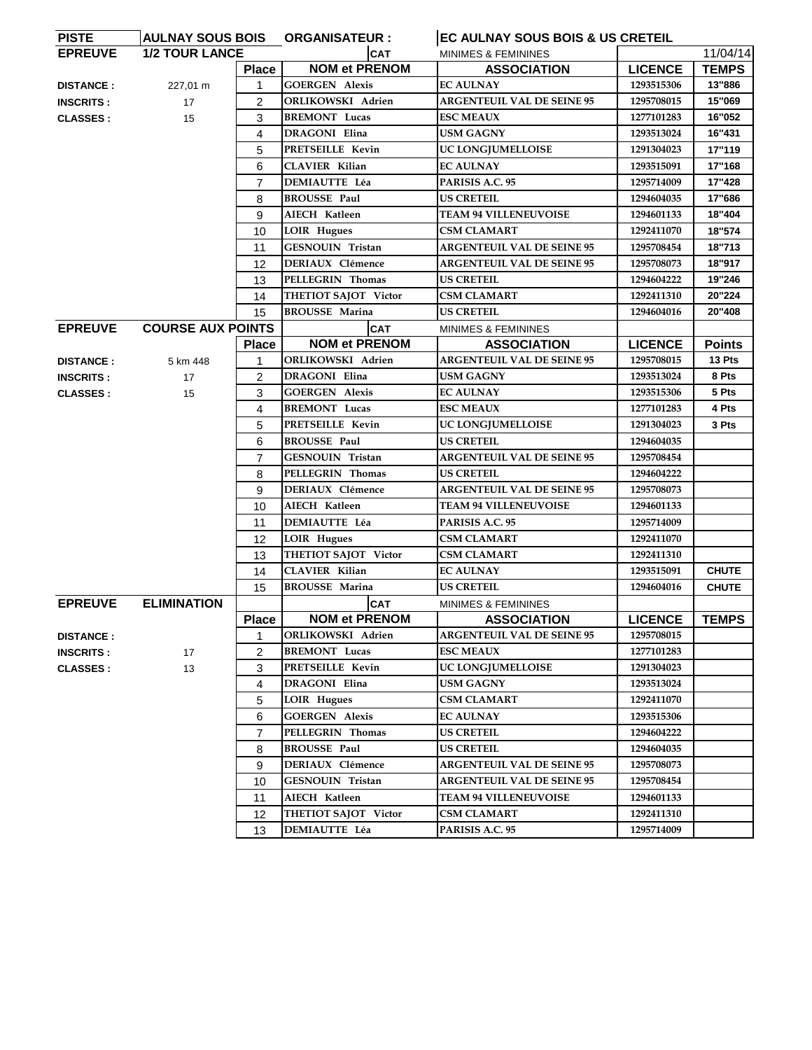| <b>PISTE</b>     | <b>AULNAY SOUS BOIS</b><br>EC AULNAY SOUS BOIS & US CRETEIL<br><b>ORGANISATEUR:</b> |                |                             |                                   |                |               |
|------------------|-------------------------------------------------------------------------------------|----------------|-----------------------------|-----------------------------------|----------------|---------------|
| <b>EPREUVE</b>   | <b>1/2 TOUR LANCE</b>                                                               |                | <b>CAT</b>                  | <b>MINIMES &amp; FEMININES</b>    |                | 11/04/14      |
|                  |                                                                                     | <b>Place</b>   | <b>NOM et PRENOM</b>        | <b>ASSOCIATION</b>                | <b>LICENCE</b> | <b>TEMPS</b>  |
| <b>DISTANCE:</b> | 227,01 m                                                                            | $\mathbf{1}$   | <b>GOERGEN Alexis</b>       | <b>EC AULNAY</b>                  | 1293515306     | 13"886        |
| <b>INSCRITS:</b> | 17                                                                                  | $\overline{2}$ | ORLIKOWSKI Adrien           | <b>ARGENTEUIL VAL DE SEINE 95</b> | 1295708015     | 15"069        |
| <b>CLASSES:</b>  | 15                                                                                  | 3              | <b>BREMONT</b> Lucas        | <b>ESC MEAUX</b>                  | 1277101283     | 16"052        |
|                  |                                                                                     | 4              | DRAGONI Elina               | USM GAGNY                         | 1293513024     | 16"431        |
|                  |                                                                                     | 5              | PRETSEILLE Kevin            | UC LONGJUMELLOISE                 | 1291304023     | 17"119        |
|                  |                                                                                     | 6              | <b>CLAVIER Kilian</b>       | <b>EC AULNAY</b>                  | 1293515091     | 17"168        |
|                  |                                                                                     | $\overline{7}$ | <b>DEMIAUTTE Léa</b>        | PARISIS A.C. 95                   | 1295714009     | 17"428        |
|                  |                                                                                     | 8              | <b>BROUSSE Paul</b>         | <b>US CRETEIL</b>                 | 1294604035     | 17"686        |
|                  |                                                                                     | 9              | AIECH Katleen               | <b>TEAM 94 VILLENEUVOISE</b>      | 1294601133     | 18"404        |
|                  |                                                                                     | 10             | <b>LOIR Hugues</b>          | <b>CSM CLAMART</b>                | 1292411070     | 18"574        |
|                  |                                                                                     | 11             | GESNOUIN Tristan            | <b>ARGENTEUIL VAL DE SEINE 95</b> | 1295708454     | 18"713        |
|                  |                                                                                     | 12             | <b>DERIAUX Clémence</b>     | <b>ARGENTEUIL VAL DE SEINE 95</b> | 1295708073     | 18"917        |
|                  |                                                                                     | 13             | PELLEGRIN Thomas            | <b>US CRETEIL</b>                 | 1294604222     | 19"246        |
|                  |                                                                                     | 14             | THETIOT SAJOT Victor        | <b>CSM CLAMART</b>                | 1292411310     | 20"224        |
|                  |                                                                                     | 15             | <b>BROUSSE Marina</b>       | <b>US CRETEIL</b>                 | 1294604016     | 20"408        |
| <b>EPREUVE</b>   | <b>COURSE AUX POINTS</b>                                                            |                | <b>CAT</b>                  | MINIMES & FEMININES               |                |               |
|                  |                                                                                     | <b>Place</b>   | <b>NOM et PRENOM</b>        | <b>ASSOCIATION</b>                | <b>LICENCE</b> | <b>Points</b> |
| <b>DISTANCE:</b> | 5 km 448                                                                            | 1              | ORLIKOWSKI Adrien           | <b>ARGENTEUIL VAL DE SEINE 95</b> | 1295708015     | 13 Pts        |
| <b>INSCRITS:</b> | 17                                                                                  | $\overline{2}$ | <b>DRAGONI Elina</b>        | <b>USM GAGNY</b>                  | 1293513024     | 8 Pts         |
| <b>CLASSES:</b>  | 15                                                                                  | 3              | <b>GOERGEN Alexis</b>       | <b>EC AULNAY</b>                  | 1293515306     | 5 Pts         |
|                  |                                                                                     | 4              | <b>BREMONT</b> Lucas        | <b>ESC MEAUX</b>                  | 1277101283     | 4 Pts         |
|                  |                                                                                     | 5              | <b>PRETSEILLE Kevin</b>     | UC LONGJUMELLOISE                 | 1291304023     | 3 Pts         |
|                  |                                                                                     | 6              | <b>BROUSSE Paul</b>         | <b>US CRETEIL</b>                 | 1294604035     |               |
|                  |                                                                                     | $\overline{7}$ | GESNOUIN Tristan            | <b>ARGENTEUIL VAL DE SEINE 95</b> | 1295708454     |               |
|                  |                                                                                     | 8              | PELLEGRIN Thomas            | <b>US CRETEIL</b>                 | 1294604222     |               |
|                  |                                                                                     | 9              | <b>DERIAUX Clémence</b>     | <b>ARGENTEUIL VAL DE SEINE 95</b> | 1295708073     |               |
|                  |                                                                                     | 10             | <b>AIECH Katleen</b>        | <b>TEAM 94 VILLENEUVOISE</b>      | 1294601133     |               |
|                  |                                                                                     | 11             | <b>DEMIAUTTE Léa</b>        | PARISIS A.C. 95                   | 1295714009     |               |
|                  |                                                                                     | 12             | <b>LOIR Hugues</b>          | <b>CSM CLAMART</b>                | 1292411070     |               |
|                  |                                                                                     | 13             | <b>THETIOT SAJOT Victor</b> | <b>CSM CLAMART</b>                | 1292411310     |               |
|                  |                                                                                     | 14             | <b>CLAVIER Kilian</b>       | <b>EC AULNAY</b>                  | 1293515091     | <b>CHUTE</b>  |
|                  |                                                                                     | 15             | <b>BROUSSE Marina</b>       | <b>US CRETEIL</b>                 | 1294604016     | <b>CHUTE</b>  |
| <b>EPREUVE</b>   | <b>ELIMINATION</b>                                                                  |                | <b>CAT</b>                  | MINIMES & FEMININES               |                |               |
|                  |                                                                                     | <b>Place</b>   | <b>NOM et PRENOM</b>        | <b>ASSOCIATION</b>                | <b>LICENCE</b> | <b>TEMPS</b>  |
| <b>DISTANCE:</b> |                                                                                     | 1              | ORLIKOWSKI Adrien           | <b>ARGENTEUIL VAL DE SEINE 95</b> | 1295708015     |               |
| <b>INSCRITS:</b> | 17                                                                                  | 2              | <b>BREMONT</b> Lucas        | <b>ESC MEAUX</b>                  | 1277101283     |               |
| <b>CLASSES:</b>  | 13                                                                                  | 3              | PRETSEILLE Kevin            | UC LONGJUMELLOISE                 | 1291304023     |               |
|                  |                                                                                     | 4              | <b>DRAGONI Elina</b>        | <b>USM GAGNY</b>                  | 1293513024     |               |
|                  |                                                                                     | 5              | <b>LOIR Hugues</b>          | <b>CSM CLAMART</b>                | 1292411070     |               |
|                  |                                                                                     | 6              | <b>GOERGEN Alexis</b>       | <b>EC AULNAY</b>                  | 1293515306     |               |
|                  |                                                                                     | $\overline{7}$ | PELLEGRIN Thomas            | <b>US CRETEIL</b>                 | 1294604222     |               |
|                  |                                                                                     | 8              | <b>BROUSSE Paul</b>         | <b>US CRETEIL</b>                 | 1294604035     |               |
|                  |                                                                                     | 9              | <b>DERIAUX Clémence</b>     | <b>ARGENTEUIL VAL DE SEINE 95</b> | 1295708073     |               |
|                  |                                                                                     | 10             | GESNOUIN Tristan            | <b>ARGENTEUIL VAL DE SEINE 95</b> | 1295708454     |               |
|                  |                                                                                     | 11             | AIECH Katleen               | <b>TEAM 94 VILLENEUVOISE</b>      | 1294601133     |               |
|                  |                                                                                     | 12             | THETIOT SAJOT Victor        | <b>CSM CLAMART</b>                | 1292411310     |               |
|                  |                                                                                     | 13             | DEMIAUTTE Léa               | PARISIS A.C. 95                   | 1295714009     |               |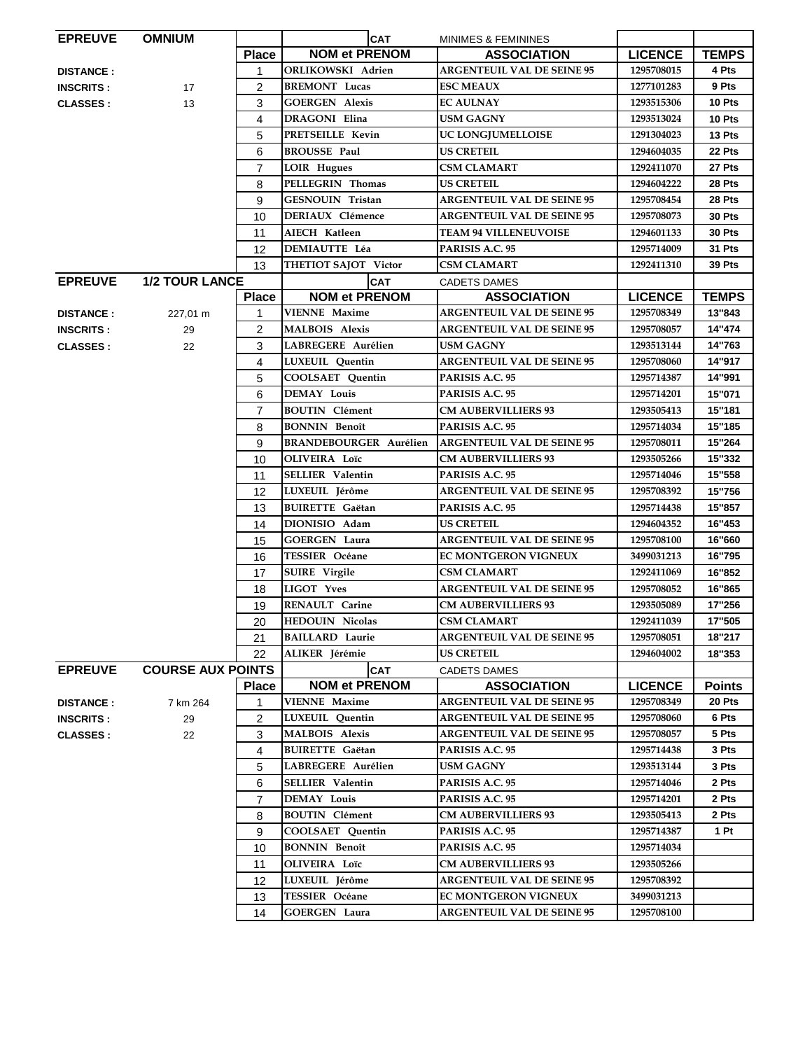| <b>EPREUVE</b>   | <b>OMNIUM</b>            |                | <b>CAT</b>                    | MINIMES & FEMININES               |                |               |
|------------------|--------------------------|----------------|-------------------------------|-----------------------------------|----------------|---------------|
|                  |                          | <b>Place</b>   | <b>NOM et PRENOM</b>          | <b>ASSOCIATION</b>                | <b>LICENCE</b> | <b>TEMPS</b>  |
| <b>DISTANCE:</b> |                          | $\mathbf{1}$   | <b>ORLIKOWSKI Adrien</b>      | <b>ARGENTEUIL VAL DE SEINE 95</b> | 1295708015     | 4 Pts         |
| <b>INSCRITS:</b> | 17                       | $\overline{2}$ | <b>BREMONT</b> Lucas          | <b>ESC MEAUX</b>                  | 1277101283     | 9 Pts         |
| <b>CLASSES:</b>  | 13                       | 3              | <b>GOERGEN Alexis</b>         | <b>EC AULNAY</b>                  | 1293515306     | 10 Pts        |
|                  |                          | $\overline{4}$ | <b>DRAGONI Elina</b>          | <b>USM GAGNY</b>                  | 1293513024     | 10 Pts        |
|                  |                          | 5              | PRETSEILLE Kevin              | UC LONGJUMELLOISE                 | 1291304023     | 13 Pts        |
|                  |                          | 6              | <b>BROUSSE Paul</b>           | <b>US CRETEIL</b>                 | 1294604035     | 22 Pts        |
|                  |                          | $\overline{7}$ | <b>LOIR Hugues</b>            | <b>CSM CLAMART</b>                | 1292411070     | 27 Pts        |
|                  |                          | 8              | PELLEGRIN Thomas              | <b>US CRETEIL</b>                 | 1294604222     | 28 Pts        |
|                  |                          | 9              | <b>GESNOUIN Tristan</b>       | <b>ARGENTEUIL VAL DE SEINE 95</b> | 1295708454     | 28 Pts        |
|                  |                          | 10             | <b>DERIAUX</b> Clémence       | <b>ARGENTEUIL VAL DE SEINE 95</b> | 1295708073     | 30 Pts        |
|                  |                          | 11             | AIECH Katleen                 | <b>TEAM 94 VILLENEUVOISE</b>      | 1294601133     | 30 Pts        |
|                  |                          | 12             | <b>DEMIAUTTE Léa</b>          | PARISIS A.C. 95                   | 1295714009     | 31 Pts        |
|                  |                          | 13             | <b>THETIOT SAJOT Victor</b>   | <b>CSM CLAMART</b>                | 1292411310     | <b>39 Pts</b> |
| <b>EPREUVE</b>   | <b>1/2 TOUR LANCE</b>    |                | <b>CAT</b>                    | <b>CADETS DAMES</b>               |                |               |
|                  |                          | <b>Place</b>   | <b>NOM et PRENOM</b>          | <b>ASSOCIATION</b>                | <b>LICENCE</b> | <b>TEMPS</b>  |
| <b>DISTANCE:</b> | 227,01 m                 | 1              | <b>VIENNE</b> Maxime          | <b>ARGENTEUIL VAL DE SEINE 95</b> | 1295708349     | 13"843        |
| <b>INSCRITS:</b> | 29                       | $\overline{2}$ | <b>MALBOIS Alexis</b>         | <b>ARGENTEUIL VAL DE SEINE 95</b> | 1295708057     | 14"474        |
| <b>CLASSES:</b>  | 22                       | 3              | LABREGERE Aurélien            | <b>USM GAGNY</b>                  | 1293513144     | 14"763        |
|                  |                          | 4              | LUXEUIL Quentin               | <b>ARGENTEUIL VAL DE SEINE 95</b> | 1295708060     | 14"917        |
|                  |                          | 5              | <b>COOLSAET Quentin</b>       | PARISIS A.C. 95                   | 1295714387     | 14"991        |
|                  |                          | 6              | <b>DEMAY Louis</b>            | PARISIS A.C. 95                   | 1295714201     | 15"071        |
|                  |                          | 7              | <b>BOUTIN</b> Clément         | <b>CM AUBERVILLIERS 93</b>        | 1293505413     | 15"181        |
|                  |                          | 8              | <b>BONNIN Benoît</b>          | PARISIS A.C. 95                   | 1295714034     | 15"185        |
|                  |                          | 9              | <b>BRANDEBOURGER Aurélien</b> | <b>ARGENTEUIL VAL DE SEINE 95</b> | 1295708011     | 15"264        |
|                  |                          | 10             | <b>OLIVEIRA</b> Loïc          | <b>CM AUBERVILLIERS 93</b>        | 1293505266     | 15"332        |
|                  |                          | 11             | <b>SELLIER Valentin</b>       | PARISIS A.C. 95                   | 1295714046     | 15"558        |
|                  |                          | 12             | LUXEUIL Jérôme                | <b>ARGENTEUIL VAL DE SEINE 95</b> | 1295708392     | 15"756        |
|                  |                          | 13             | <b>BUIRETTE Gaëtan</b>        | PARISIS A.C. 95                   | 1295714438     | 15"857        |
|                  |                          | 14             | DIONISIO Adam                 | <b>US CRETEIL</b>                 | 1294604352     | 16"453        |
|                  |                          | 15             | <b>GOERGEN Laura</b>          | <b>ARGENTEUIL VAL DE SEINE 95</b> | 1295708100     | 16"660        |
|                  |                          | 16             | <b>TESSIER Océane</b>         | <b>EC MONTGERON VIGNEUX</b>       | 3499031213     | 16"795        |
|                  |                          | 17             | <b>SUIRE</b> Virgile          | <b>CSM CLAMART</b>                | 1292411069     | 16"852        |
|                  |                          | 18             | LIGOT Yves                    | <b>ARGENTEUIL VAL DE SEINE 95</b> | 1295708052     | 16"865        |
|                  |                          | 19             | RENAULT Carine                | <b>CM AUBERVILLIERS 93</b>        | 1293505089     | 17"256        |
|                  |                          | 20             | <b>HEDOUIN Nicolas</b>        | <b>CSM CLAMART</b>                | 1292411039     | 17"505        |
|                  |                          | 21             | <b>BAILLARD Laurie</b>        | <b>ARGENTEUIL VAL DE SEINE 95</b> | 1295708051     | 18"217        |
|                  |                          | 22             | ALIKER Jérémie                | <b>US CRETEIL</b>                 | 1294604002     | 18"353        |
| <b>EPREUVE</b>   | <b>COURSE AUX POINTS</b> |                | <b>CAT</b>                    | <b>CADETS DAMES</b>               |                |               |
|                  |                          | <b>Place</b>   | <b>NOM et PRENOM</b>          | <b>ASSOCIATION</b>                | <b>LICENCE</b> | <b>Points</b> |
| <b>DISTANCE:</b> | 7 km 264                 | 1              | <b>VIENNE Maxime</b>          | <b>ARGENTEUIL VAL DE SEINE 95</b> | 1295708349     | 20 Pts        |
| <b>INSCRITS:</b> | 29                       | 2              | LUXEUIL Quentin               | <b>ARGENTEUIL VAL DE SEINE 95</b> | 1295708060     | 6 Pts         |
| <b>CLASSES</b> : | 22                       | 3              | <b>MALBOIS Alexis</b>         | <b>ARGENTEUIL VAL DE SEINE 95</b> | 1295708057     | 5 Pts         |
|                  |                          | 4              | <b>BUIRETTE Gaëtan</b>        | PARISIS A.C. 95                   | 1295714438     | 3 Pts         |
|                  |                          | 5              | LABREGERE Aurélien            | <b>USM GAGNY</b>                  | 1293513144     | 3 Pts         |
|                  |                          | 6              | <b>SELLIER</b> Valentin       | PARISIS A.C. 95                   | 1295714046     | 2 Pts         |
|                  |                          | 7              | DEMAY Louis                   | PARISIS A.C. 95                   | 1295714201     | 2 Pts         |
|                  |                          | 8              | <b>BOUTIN</b> Clément         | <b>CM AUBERVILLIERS 93</b>        | 1293505413     | 2 Pts         |
|                  |                          | 9              | <b>COOLSAET Quentin</b>       | PARISIS A.C. 95                   | 1295714387     | 1 Pt          |
|                  |                          | 10             | <b>BONNIN Benoît</b>          | PARISIS A.C. 95                   | 1295714034     |               |
|                  |                          | 11             | <b>OLIVEIRA</b> Loïc          | <b>CM AUBERVILLIERS 93</b>        | 1293505266     |               |
|                  |                          | 12             | LUXEUIL Jérôme                | <b>ARGENTEUIL VAL DE SEINE 95</b> | 1295708392     |               |
|                  |                          | 13             | TESSIER Océane                | <b>EC MONTGERON VIGNEUX</b>       | 3499031213     |               |
|                  |                          | 14             | <b>GOERGEN Laura</b>          | <b>ARGENTEUIL VAL DE SEINE 95</b> | 1295708100     |               |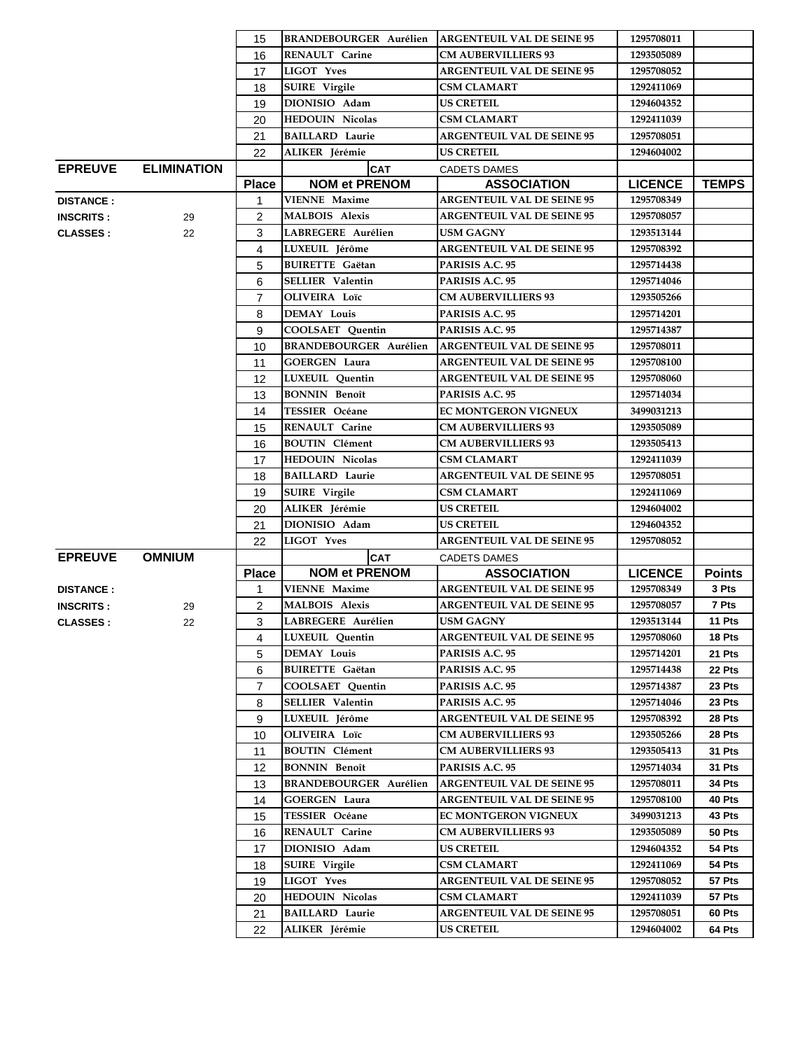|                  |                    | 15                |                                              | <b>BRANDEBOURGER Aurélien ARGENTEUIL VAL DE SEINE 95</b> | 1295708011                   |                        |
|------------------|--------------------|-------------------|----------------------------------------------|----------------------------------------------------------|------------------------------|------------------------|
|                  |                    | 16                | <b>RENAULT</b> Carine                        | <b>CM AUBERVILLIERS 93</b>                               | 1293505089                   |                        |
|                  |                    | 17                | <b>LIGOT Yves</b>                            | <b>ARGENTEUIL VAL DE SEINE 95</b>                        | 1295708052                   |                        |
|                  |                    | 18                | <b>SUIRE</b> Virgile                         | <b>CSM CLAMART</b>                                       | 1292411069                   |                        |
|                  |                    | 19                | DIONISIO Adam                                | <b>US CRETEIL</b>                                        | 1294604352                   |                        |
|                  |                    | 20                | <b>HEDOUIN Nicolas</b>                       | <b>CSM CLAMART</b>                                       | 1292411039                   |                        |
|                  |                    | 21                | <b>BAILLARD Laurie</b>                       | <b>ARGENTEUIL VAL DE SEINE 95</b>                        | 1295708051                   |                        |
|                  |                    | 22                | ALIKER Jérémie                               | <b>US CRETEIL</b>                                        | 1294604002                   |                        |
| <b>EPREUVE</b>   | <b>ELIMINATION</b> |                   | <b>CAT</b>                                   | <b>CADETS DAMES</b>                                      |                              |                        |
|                  |                    | <b>Place</b>      | <b>NOM et PRENOM</b>                         | <b>ASSOCIATION</b>                                       | <b>LICENCE</b>               | <b>TEMPS</b>           |
| <b>DISTANCE:</b> |                    | 1                 | <b>VIENNE Maxime</b>                         | <b>ARGENTEUIL VAL DE SEINE 95</b>                        | 1295708349                   |                        |
| <b>INSCRITS:</b> | 29                 | $\overline{2}$    | <b>MALBOIS Alexis</b>                        | <b>ARGENTEUIL VAL DE SEINE 95</b>                        | 1295708057                   |                        |
| <b>CLASSES:</b>  |                    | 3                 | LABREGERE Aurélien                           | <b>USM GAGNY</b>                                         | 1293513144                   |                        |
|                  | 22                 | $\overline{4}$    | LUXEUIL Jérôme                               | <b>ARGENTEUIL VAL DE SEINE 95</b>                        | 1295708392                   |                        |
|                  |                    |                   | <b>BUIRETTE</b> Gaëtan                       | PARISIS A.C. 95                                          | 1295714438                   |                        |
|                  |                    | 5                 | <b>SELLIER Valentin</b>                      | PARISIS A.C. 95                                          |                              |                        |
|                  |                    | 6                 |                                              |                                                          | 1295714046                   |                        |
|                  |                    | $\overline{7}$    | <b>OLIVEIRA</b> Loïc                         | <b>CM AUBERVILLIERS 93</b>                               | 1293505266                   |                        |
|                  |                    | 8                 | DEMAY Louis                                  | PARISIS A.C. 95                                          | 1295714201                   |                        |
|                  |                    | 9                 | <b>COOLSAET</b> Quentin                      | PARISIS A.C. 95                                          | 1295714387                   |                        |
|                  |                    | 10                | <b>BRANDEBOURGER Aurélien</b>                | <b>ARGENTEUIL VAL DE SEINE 95</b>                        | 1295708011                   |                        |
|                  |                    | 11                | <b>GOERGEN Laura</b>                         | <b>ARGENTEUIL VAL DE SEINE 95</b>                        | 1295708100                   |                        |
|                  |                    | 12                | <b>LUXEUIL</b> Quentin                       | <b>ARGENTEUIL VAL DE SEINE 95</b>                        | 1295708060                   |                        |
|                  |                    | 13                | <b>BONNIN Benoît</b>                         | PARISIS A.C. 95                                          | 1295714034                   |                        |
|                  |                    | 14                | TESSIER Océane                               | EC MONTGERON VIGNEUX                                     | 3499031213                   |                        |
|                  |                    | 15                | <b>RENAULT Carine</b>                        | <b>CM AUBERVILLIERS 93</b>                               | 1293505089                   |                        |
|                  |                    | 16                | <b>BOUTIN</b> Clément                        | <b>CM AUBERVILLIERS 93</b>                               | 1293505413                   |                        |
|                  |                    | 17                | <b>HEDOUIN Nicolas</b>                       | <b>CSM CLAMART</b>                                       | 1292411039                   |                        |
|                  |                    | 18                | <b>BAILLARD Laurie</b>                       | <b>ARGENTEUIL VAL DE SEINE 95</b>                        | 1295708051                   |                        |
|                  |                    | 19                | <b>SUIRE</b> Virgile                         | <b>CSM CLAMART</b>                                       | 1292411069                   |                        |
|                  |                    | 20                | ALIKER Jérémie                               | US CRETEIL                                               | 1294604002                   |                        |
|                  |                    |                   | DIONISIO Adam                                | <b>US CRETEIL</b>                                        |                              |                        |
|                  |                    | 21                |                                              |                                                          | 1294604352                   |                        |
|                  |                    | 22                | <b>LIGOT Yves</b>                            | <b>ARGENTEUIL VAL DE SEINE 95</b>                        | 1295708052                   |                        |
|                  |                    |                   |                                              |                                                          |                              |                        |
| <b>EPREUVE</b>   | <b>OMNIUM</b>      |                   | <b>CAT</b>                                   | <b>CADETS DAMES</b>                                      |                              |                        |
|                  |                    | <b>Place</b><br>1 | <b>NOM et PRENOM</b><br><b>VIENNE Maxime</b> | <b>ASSOCIATION</b><br><b>ARGENTEUIL VAL DE SEINE 95</b>  | <b>LICENCE</b><br>1295708349 | <b>Points</b><br>3 Pts |
| <b>DISTANCE:</b> |                    |                   |                                              | <b>ARGENTEUIL VAL DE SEINE 95</b>                        | 1295708057                   | 7 Pts                  |
| <b>INSCRITS:</b> | 29                 | 2                 | <b>MALBOIS Alexis</b>                        | <b>USM GAGNY</b>                                         |                              | 11 Pts                 |
| <b>CLASSES:</b>  | 22                 | 3<br>4            | LABREGERE Aurélien                           | <b>ARGENTEUIL VAL DE SEINE 95</b>                        | 1293513144<br>1295708060     | 18 Pts                 |
|                  |                    |                   | LUXEUIL Quentin                              |                                                          | 1295714201                   | 21 Pts                 |
|                  |                    | 5                 | <b>DEMAY Louis</b>                           | PARISIS A.C. 95                                          |                              | 22 Pts                 |
|                  |                    | 6                 | <b>BUIRETTE Gaëtan</b>                       | PARISIS A.C. 95                                          | 1295714438                   |                        |
|                  |                    | $\overline{7}$    | <b>COOLSAET Quentin</b>                      | PARISIS A.C. 95                                          | 1295714387                   | 23 Pts                 |
|                  |                    | 8                 | <b>SELLIER Valentin</b>                      | PARISIS A.C. 95                                          | 1295714046                   | 23 Pts                 |
|                  |                    | 9                 | LUXEUIL Jérôme                               | <b>ARGENTEUIL VAL DE SEINE 95</b>                        | 1295708392                   | 28 Pts                 |
|                  |                    | 10                | <b>OLIVEIRA</b> Loïc                         | <b>CM AUBERVILLIERS 93</b>                               | 1293505266                   | 28 Pts                 |
|                  |                    | 11                | <b>BOUTIN</b> Clément                        | <b>CM AUBERVILLIERS 93</b>                               | 1293505413                   | <b>31 Pts</b>          |
|                  |                    | 12                | <b>BONNIN Benoît</b>                         | PARISIS A.C. 95                                          | 1295714034                   | <b>31 Pts</b>          |
|                  |                    | 13                | <b>BRANDEBOURGER Aurélien</b>                | <b>ARGENTEUIL VAL DE SEINE 95</b>                        | 1295708011                   | <b>34 Pts</b>          |
|                  |                    | 14                | <b>GOERGEN Laura</b>                         | <b>ARGENTEUIL VAL DE SEINE 95</b>                        | 1295708100                   | 40 Pts                 |
|                  |                    | 15                | <b>TESSIER Océane</b>                        | <b>EC MONTGERON VIGNEUX</b>                              | 3499031213                   | 43 Pts                 |
|                  |                    | 16                | RENAULT Carine                               | <b>CM AUBERVILLIERS 93</b>                               | 1293505089                   | <b>50 Pts</b>          |
|                  |                    | 17                | DIONISIO Adam                                | <b>US CRETEIL</b>                                        | 1294604352                   | <b>54 Pts</b>          |
|                  |                    | 18                | <b>SUIRE</b> Virgile                         | <b>CSM CLAMART</b>                                       | 1292411069                   | <b>54 Pts</b>          |
|                  |                    | 19                | <b>LIGOT Yves</b>                            | <b>ARGENTEUIL VAL DE SEINE 95</b>                        | 1295708052                   | 57 Pts                 |
|                  |                    | 20                | <b>HEDOUIN Nicolas</b>                       | CSM CLAMART                                              | 1292411039                   | 57 Pts                 |
|                  |                    | 21<br>22          | <b>BAILLARD Laurie</b><br>ALIKER Jérémie     | <b>ARGENTEUIL VAL DE SEINE 95</b><br><b>US CRETEIL</b>   | 1295708051<br>1294604002     | 60 Pts<br>64 Pts       |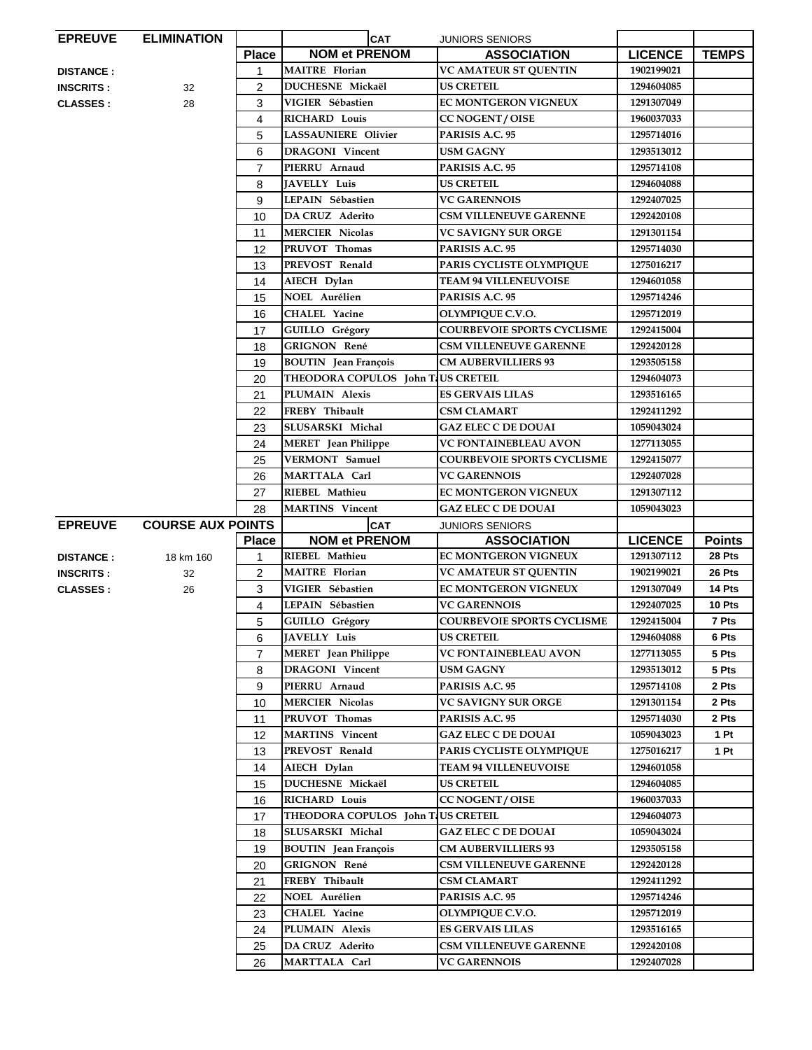| <b>EPREUVE</b>   | <b>ELIMINATION</b>       |                | <b>CAT</b>                         | <b>JUNIORS SENIORS</b>            |                |               |
|------------------|--------------------------|----------------|------------------------------------|-----------------------------------|----------------|---------------|
|                  |                          | <b>Place</b>   | <b>NOM et PRENOM</b>               | <b>ASSOCIATION</b>                | <b>LICENCE</b> | <b>TEMPS</b>  |
| <b>DISTANCE:</b> |                          | 1              | <b>MAITRE</b> Florian              | VC AMATEUR ST QUENTIN             | 1902199021     |               |
| <b>INSCRITS:</b> | 32                       | 2              | DUCHESNE Mickaël                   | <b>US CRETEIL</b>                 | 1294604085     |               |
| <b>CLASSES:</b>  | 28                       | 3              | VIGIER Sébastien                   | EC MONTGERON VIGNEUX              | 1291307049     |               |
|                  |                          | 4              | <b>RICHARD Louis</b>               | <b>CC NOGENT / OISE</b>           | 1960037033     |               |
|                  |                          | 5              | <b>LASSAUNIERE Olivier</b>         | PARISIS A.C. 95                   | 1295714016     |               |
|                  |                          | 6              | <b>DRAGONI</b> Vincent             | <b>USM GAGNY</b>                  | 1293513012     |               |
|                  |                          | $\overline{7}$ | PIERRU Arnaud                      | PARISIS A.C. 95                   | 1295714108     |               |
|                  |                          | 8              | <b>JAVELLY Luis</b>                | <b>US CRETEIL</b>                 | 1294604088     |               |
|                  |                          | 9              | LEPAIN Sébastien                   | <b>VC GARENNOIS</b>               | 1292407025     |               |
|                  |                          | 10             | DA CRUZ Aderito                    | <b>CSM VILLENEUVE GARENNE</b>     | 1292420108     |               |
|                  |                          | 11             | <b>MERCIER Nicolas</b>             | <b>VC SAVIGNY SUR ORGE</b>        | 1291301154     |               |
|                  |                          | 12             | PRUVOT Thomas                      | PARISIS A.C. 95                   | 1295714030     |               |
|                  |                          | 13             | PREVOST Renald                     | PARIS CYCLISTE OLYMPIQUE          | 1275016217     |               |
|                  |                          | 14             | AIECH Dylan                        | <b>TEAM 94 VILLENEUVOISE</b>      | 1294601058     |               |
|                  |                          | 15             | <b>NOEL Aurélien</b>               | PARISIS A.C. 95                   | 1295714246     |               |
|                  |                          | 16             | <b>CHALEL Yacine</b>               | <b>OLYMPIOUE C.V.O.</b>           | 1295712019     |               |
|                  |                          | 17             | <b>GUILLO</b> Grégory              | <b>COURBEVOIE SPORTS CYCLISME</b> | 1292415004     |               |
|                  |                          | 18             | <b>GRIGNON René</b>                | <b>CSM VILLENEUVE GARENNE</b>     | 1292420128     |               |
|                  |                          | 19             | <b>BOUTIN</b> Jean François        | <b>CM AUBERVILLIERS 93</b>        | 1293505158     |               |
|                  |                          | 20             | THEODORA COPULOS John TUS CRETEIL  |                                   | 1294604073     |               |
|                  |                          | 21             | PLUMAIN Alexis                     | <b>ES GERVAIS LILAS</b>           | 1293516165     |               |
|                  |                          | 22             | FREBY Thibault                     | <b>CSM CLAMART</b>                | 1292411292     |               |
|                  |                          | 23             | SLUSARSKI Michal                   | <b>GAZ ELEC C DE DOUAI</b>        | 1059043024     |               |
|                  |                          | 24             | <b>MERET</b> Jean Philippe         | <b>VC FONTAINEBLEAU AVON</b>      | 1277113055     |               |
|                  |                          | 25             | VERMONT Samuel                     | <b>COURBEVOIE SPORTS CYCLISME</b> | 1292415077     |               |
|                  |                          | 26             | MARTTALA Carl                      | <b>VC GARENNOIS</b>               | 1292407028     |               |
|                  |                          | 27             | RIEBEL Mathieu                     | <b>EC MONTGERON VIGNEUX</b>       | 1291307112     |               |
|                  |                          |                |                                    |                                   |                |               |
|                  |                          | 28             | <b>MARTINS</b> Vincent             | <b>GAZ ELEC C DE DOUAI</b>        | 1059043023     |               |
| <b>EPREUVE</b>   | <b>COURSE AUX POINTS</b> |                | <b>CAT</b>                         | <b>JUNIORS SENIORS</b>            |                |               |
|                  |                          | <b>Place</b>   | <b>NOM et PRENOM</b>               | <b>ASSOCIATION</b>                | <b>LICENCE</b> | <b>Points</b> |
| <b>DISTANCE:</b> | 18 km 160                | 1              | <b>RIEBEL Mathieu</b>              | <b>EC MONTGERON VIGNEUX</b>       | 1291307112     | 28 Pts        |
| <b>INSCRITS:</b> | 32                       | $\overline{2}$ | <b>MAITRE</b> Florian              | <b>VC AMATEUR ST OUENTIN</b>      | 1902199021     | 26 Pts        |
| <b>CLASSES:</b>  | 26                       | 3              | VIGIER Sébastien                   | <b>EC MONTGERON VIGNEUX</b>       | 1291307049     | 14 Pts        |
|                  |                          | 4              | LEPAIN Sébastien                   | <b>VC GARENNOIS</b>               | 1292407025     | 10 Pts        |
|                  |                          | 5              | <b>GUILLO</b> Grégory              | <b>COURBEVOIE SPORTS CYCLISME</b> | 1292415004     | 7 Pts         |
|                  |                          | 6              | JAVELLY Luis                       | <b>US CRETEIL</b>                 | 1294604088     | 6 Pts         |
|                  |                          | 7              | <b>MERET</b> Jean Philippe         | <b>VC FONTAINEBLEAU AVON</b>      | 1277113055     | 5 Pts         |
|                  |                          | 8              | <b>DRAGONI</b> Vincent             | <b>USM GAGNY</b>                  | 1293513012     | 5 Pts         |
|                  |                          | 9              | PIERRU Arnaud                      | PARISIS A.C. 95                   | 1295714108     | 2 Pts         |
|                  |                          | 10             | <b>MERCIER Nicolas</b>             | <b>VC SAVIGNY SUR ORGE</b>        | 1291301154     | 2 Pts         |
|                  |                          | 11             | PRUVOT Thomas                      | PARISIS A.C. 95                   | 1295714030     | 2 Pts         |
|                  |                          | 12             | <b>MARTINS</b> Vincent             | <b>GAZ ELEC C DE DOUAI</b>        | 1059043023     | 1 Pt          |
|                  |                          | 13             | PREVOST Renald                     | PARIS CYCLISTE OLYMPIQUE          | 1275016217     | 1 Pt          |
|                  |                          | 14             | AIECH Dylan                        | <b>TEAM 94 VILLENEUVOISE</b>      | 1294601058     |               |
|                  |                          | 15             | DUCHESNE Mickaël                   | <b>US CRETEIL</b>                 | 1294604085     |               |
|                  |                          | 16             | <b>RICHARD Louis</b>               | <b>CC NOGENT / OISE</b>           | 1960037033     |               |
|                  |                          | 17             | THEODORA COPULOS John T US CRETEIL |                                   | 1294604073     |               |
|                  |                          | 18             | SLUSARSKI Michal                   | <b>GAZ ELEC C DE DOUAI</b>        | 1059043024     |               |
|                  |                          | 19             | <b>BOUTIN</b> Jean François        | <b>CM AUBERVILLIERS 93</b>        | 1293505158     |               |
|                  |                          | 20             | <b>GRIGNON René</b>                | <b>CSM VILLENEUVE GARENNE</b>     | 1292420128     |               |
|                  |                          | 21             | FREBY Thibault                     | <b>CSM CLAMART</b>                | 1292411292     |               |
|                  |                          | 22             | <b>NOEL Aurélien</b>               | PARISIS A.C. 95                   | 1295714246     |               |
|                  |                          | 23             | CHALEL Yacine                      | OLYMPIQUE C.V.O.                  | 1295712019     |               |
|                  |                          | 24             | PLUMAIN Alexis                     | <b>ES GERVAIS LILAS</b>           | 1293516165     |               |
|                  |                          | 25             | DA CRUZ Aderito                    | <b>CSM VILLENEUVE GARENNE</b>     | 1292420108     |               |